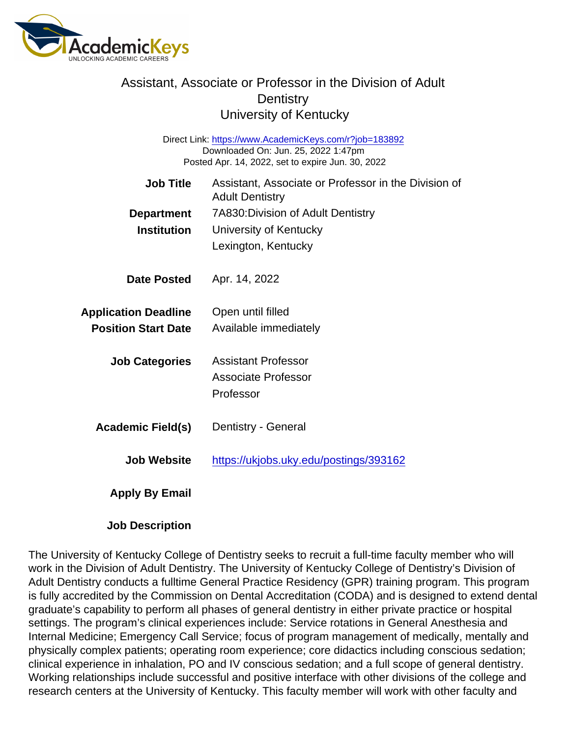## Assistant, Associate or Professor in the Division of Adult **Dentistry** University of Kentucky

Direct Link: <https://www.AcademicKeys.com/r?job=183892> Downloaded On: Jun. 25, 2022 1:47pm Posted Apr. 14, 2022, set to expire Jun. 30, 2022

| <b>Job Title</b>            | Assistant, Associate or Professor in the Division of<br><b>Adult Dentistry</b> |
|-----------------------------|--------------------------------------------------------------------------------|
| Department                  | 7A830: Division of Adult Dentistry                                             |
| Institution                 | University of Kentucky                                                         |
|                             | Lexington, Kentucky                                                            |
| Date Posted                 | Apr. 14, 2022                                                                  |
| <b>Application Deadline</b> | Open until filled                                                              |
| <b>Position Start Date</b>  | Available immediately                                                          |
| <b>Job Categories</b>       | Assistant Professor                                                            |
|                             | Associate Professor                                                            |
|                             | Professor                                                                      |
| Academic Field(s)           | Dentistry - General                                                            |
| Job Website                 | https://ukjobs.uky.edu/postings/393162                                         |
| Apply By Email              |                                                                                |

Job Description

The University of Kentucky College of Dentistry seeks to recruit a full-time faculty member who will work in the Division of Adult Dentistry. The University of Kentucky College of Dentistry's Division of Adult Dentistry conducts a fulltime General Practice Residency (GPR) training program. This program is fully accredited by the Commission on Dental Accreditation (CODA) and is designed to extend dental graduate's capability to perform all phases of general dentistry in either private practice or hospital settings. The program's clinical experiences include: Service rotations in General Anesthesia and Internal Medicine; Emergency Call Service; focus of program management of medically, mentally and physically complex patients; operating room experience; core didactics including conscious sedation; clinical experience in inhalation, PO and IV conscious sedation; and a full scope of general dentistry. Working relationships include successful and positive interface with other divisions of the college and research centers at the University of Kentucky. This faculty member will work with other faculty and